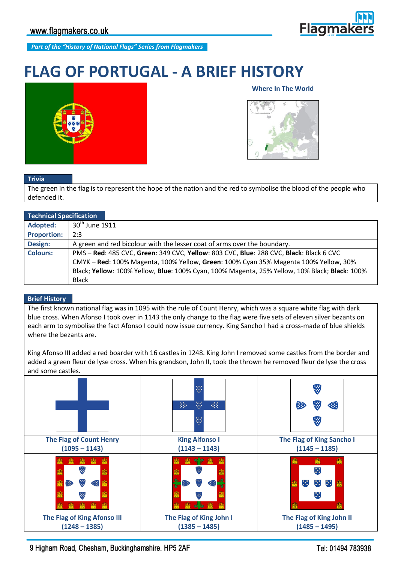

*Part of the "History of National Flags" Series from Flagmakers*

# **FLAG OF PORTUGAL - A BRIEF HISTORY**



## **Where In The World**



#### **Trivia**

The green in the flag is to represent the hope of the nation and the red to symbolise the blood of the people who defended it.

| <b>Technical Specification</b> |                                                                                               |
|--------------------------------|-----------------------------------------------------------------------------------------------|
| Adopted:                       | $30th$ June 1911                                                                              |
| <b>Proportion:</b>             | 2:3                                                                                           |
| Design:                        | A green and red bicolour with the lesser coat of arms over the boundary.                      |
| <b>Colours:</b>                | PMS-Red: 485 CVC, Green: 349 CVC, Yellow: 803 CVC, Blue: 288 CVC, Black: Black 6 CVC          |
|                                | CMYK - Red: 100% Magenta, 100% Yellow, Green: 100% Cyan 35% Magenta 100% Yellow, 30%          |
|                                | Black; Yellow: 100% Yellow, Blue: 100% Cyan, 100% Magenta, 25% Yellow, 10% Black; Black: 100% |
|                                | <b>Black</b>                                                                                  |

## **Brief History**

The first known national flag was in 1095 with the rule of Count Henry, which was a square white flag with dark blue cross. When Afonso I took over in 1143 the only change to the flag were five sets of eleven silver bezants on each arm to symbolise the fact Afonso I could now issue currency. King Sancho I had a cross-made of blue shields where the bezants are.

King Afonso III added a red boarder with 16 castles in 1248. King John I removed some castles from the border and added a green fleur de lyse cross. When his grandson, John II, took the thrown he removed fleur de lyse the cross and some castles.



9 Higham Road, Chesham, Buckinghamshire. HP5 2AF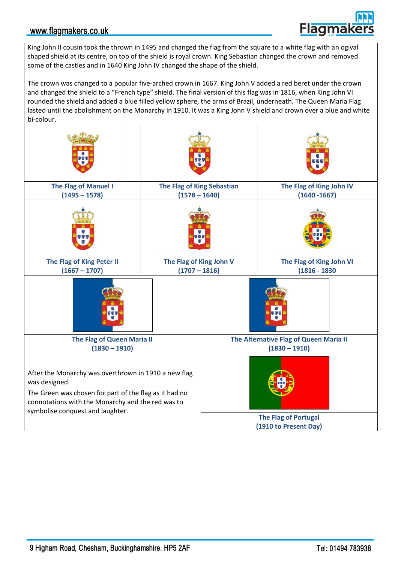## www.flagmakers.co.uk

**Flagmak** 

King John II cousin took the thrown in 1495 and changed the flag from the square to a white flag with an ogival shaped shield at its centre, on top of the shield is royal crown. King Sebastian changed the crown and removed some of the castles and in 1640 King John IV changed the shape of the shield.

The crown was changed to a popular five-arched crown in 1667. King John V added a red beret under the crown and changed the shield to a "French type" shield. The final version of this flag was in 1816, when King John VI rounded the shield and added a blue filled yellow sphere, the arms of Brazil, underneath. The Queen Maria Flag lasted until the abolishment on the Monarchy in 1910. It was a King John V shield and crown over a blue and white bi-colour.

| 68 Q                                                                                                                                                                                                                     |                                               |  | <b>UUU</b>                                                |
|--------------------------------------------------------------------------------------------------------------------------------------------------------------------------------------------------------------------------|-----------------------------------------------|--|-----------------------------------------------------------|
| The Flag of Manuel I<br>$(1495 - 1578)$                                                                                                                                                                                  | The Flag of King Sebastian<br>$(1578 - 1640)$ |  | The Flag of King John IV<br>$(1640 - 1667)$               |
| 888                                                                                                                                                                                                                      |                                               |  |                                                           |
| The Flag of King Peter II<br>$(1667 - 1707)$                                                                                                                                                                             | The Flag of King John V<br>$(1707 - 1816)$    |  | The Flag of King John VI<br>$(1816 - 1830)$               |
| <b>333</b><br>×                                                                                                                                                                                                          |                                               |  | 网络网                                                       |
| The Flag of Queen Maria II<br>$(1830 - 1910)$                                                                                                                                                                            |                                               |  | The Alternative Flag of Queen Maria II<br>$(1830 - 1910)$ |
| After the Monarchy was overthrown in 1910 a new flag<br>was designed.<br>The Green was chosen for part of the flag as it had no<br>connotations with the Monarchy and the red was to<br>symbolise conquest and laughter. |                                               |  |                                                           |
|                                                                                                                                                                                                                          |                                               |  | <b>The Flag of Portugal</b><br>(1910 to Present Day)      |